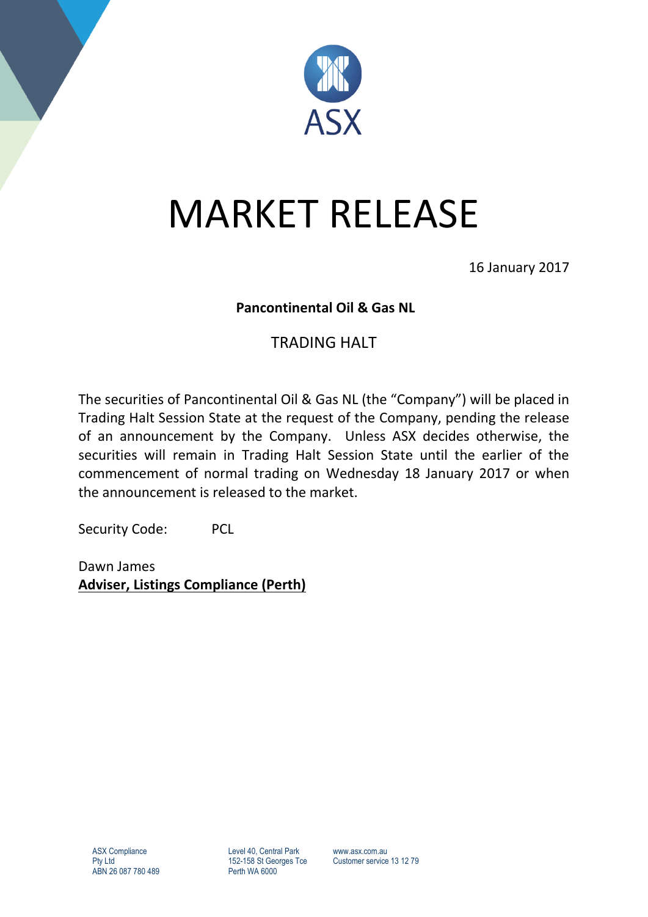

## MARKET RELEASE

16 January 2017

## **Pancontinental Oil & Gas NL**

## TRADING HALT

The securities of Pancontinental Oil & Gas NL (the "Company") will be placed in Trading Halt Session State at the request of the Company, pending the release of an announcement by the Company. Unless ASX decides otherwise, the securities will remain in Trading Halt Session State until the earlier of the commencement of normal trading on Wednesday 18 January 2017 or when the announcement is released to the market.

Security Code: PCL

Dawn James **Adviser, Listings Compliance (Perth)**

Level 40, Central Park 152-158 St Georges Tce Perth WA 6000

www.asx.com.au Customer service 13 12 79